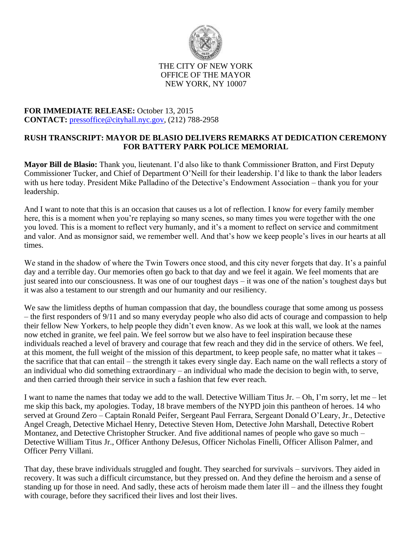

## THE CITY OF NEW YORK OFFICE OF THE MAYOR NEW YORK, NY 10007

## **FOR IMMEDIATE RELEASE:** October 13, 2015 **CONTACT:** [pressoffice@cityhall.nyc.gov,](mailto:pressoffice@cityhall.nyc.gov) (212) 788-2958

## **RUSH TRANSCRIPT: MAYOR DE BLASIO DELIVERS REMARKS AT DEDICATION CEREMONY FOR BATTERY PARK POLICE MEMORIAL**

**Mayor Bill de Blasio:** Thank you, lieutenant. I'd also like to thank Commissioner Bratton, and First Deputy Commissioner Tucker, and Chief of Department O'Neill for their leadership. I'd like to thank the labor leaders with us here today. President Mike Palladino of the Detective's Endowment Association – thank you for your leadership.

And I want to note that this is an occasion that causes us a lot of reflection. I know for every family member here, this is a moment when you're replaying so many scenes, so many times you were together with the one you loved. This is a moment to reflect very humanly, and it's a moment to reflect on service and commitment and valor. And as monsignor said, we remember well. And that's how we keep people's lives in our hearts at all times.

We stand in the shadow of where the Twin Towers once stood, and this city never forgets that day. It's a painful day and a terrible day. Our memories often go back to that day and we feel it again. We feel moments that are just seared into our consciousness. It was one of our toughest days – it was one of the nation's toughest days but it was also a testament to our strength and our humanity and our resiliency.

We saw the limitless depths of human compassion that day, the boundless courage that some among us possess – the first responders of 9/11 and so many everyday people who also did acts of courage and compassion to help their fellow New Yorkers, to help people they didn't even know. As we look at this wall, we look at the names now etched in granite, we feel pain. We feel sorrow but we also have to feel inspiration because these individuals reached a level of bravery and courage that few reach and they did in the service of others. We feel, at this moment, the full weight of the mission of this department, to keep people safe, no matter what it takes – the sacrifice that that can entail – the strength it takes every single day. Each name on the wall reflects a story of an individual who did something extraordinary – an individual who made the decision to begin with, to serve, and then carried through their service in such a fashion that few ever reach.

I want to name the names that today we add to the wall. Detective William Titus Jr. – Oh, I'm sorry, let me – let me skip this back, my apologies. Today, 18 brave members of the NYPD join this pantheon of heroes. 14 who served at Ground Zero – Captain Ronald Peifer, Sergeant Paul Ferrara, Sergeant Donald O'Leary, Jr., Detective Angel Creagh, Detective Michael Henry, Detective Steven Hom, Detective John Marshall, Detective Robert Montanez, and Detective Christopher Strucker. And five additional names of people who gave so much – Detective William Titus Jr., Officer Anthony DeJesus, Officer Nicholas Finelli, Officer Allison Palmer, and Officer Perry Villani.

That day, these brave individuals struggled and fought. They searched for survivals – survivors. They aided in recovery. It was such a difficult circumstance, but they pressed on. And they define the heroism and a sense of standing up for those in need. And sadly, these acts of heroism made them later ill – and the illness they fought with courage, before they sacrificed their lives and lost their lives.